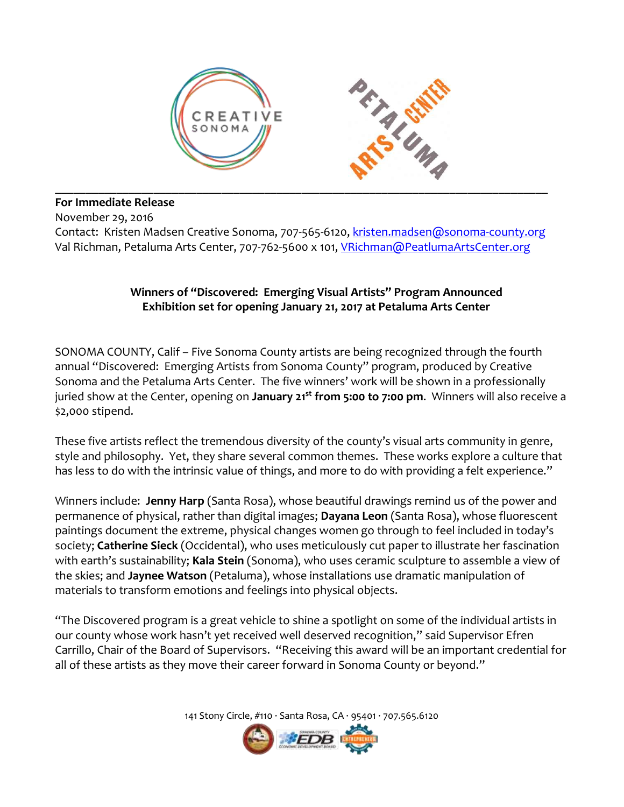

**For Immediate Release**

November 29, 2016

Contact: Kristen Madsen Creative Sonoma, 707-565-6120, [kristen.madsen@sonoma-county.org](mailto:kristen.madsen@sonoma-county.org) Val Richman, Petaluma Arts Center, 707-762-5600 x 101, [VRichman@PeatlumaArtsCenter.org](mailto:VRichman@PeatlumaArtsCenter.org)

## **Winners of "Discovered: Emerging Visual Artists" Program Announced Exhibition set for opening January 21, 2017 at Petaluma Arts Center**

SONOMA COUNTY, Calif – Five Sonoma County artists are being recognized through the fourth annual "Discovered: Emerging Artists from Sonoma County" program, produced by Creative Sonoma and the Petaluma Arts Center. The five winners' work will be shown in a professionally juried show at the Center, opening on **January 21st from 5:00 to 7:00 pm**. Winners will also receive a \$2,000 stipend.

These five artists reflect the tremendous diversity of the county's visual arts community in genre, style and philosophy. Yet, they share several common themes. These works explore a culture that has less to do with the intrinsic value of things, and more to do with providing a felt experience."

Winners include: **Jenny Harp** (Santa Rosa), whose beautiful drawings remind us of the power and permanence of physical, rather than digital images; **Dayana Leon** (Santa Rosa), whose fluorescent paintings document the extreme, physical changes women go through to feel included in today's society; **Catherine Sieck** (Occidental), who uses meticulously cut paper to illustrate her fascination with earth's sustainability; **Kala Stein** (Sonoma), who uses ceramic sculpture to assemble a view of the skies; and **Jaynee Watson** (Petaluma), whose installations use dramatic manipulation of materials to transform emotions and feelings into physical objects.

"The Discovered program is a great vehicle to shine a spotlight on some of the individual artists in our county whose work hasn't yet received well deserved recognition," said Supervisor Efren Carrillo, Chair of the Board of Supervisors. "Receiving this award will be an important credential for all of these artists as they move their career forward in Sonoma County or beyond."

141 Stony Circle, #110 · Santa Rosa, CA · 95401 · 707.565.6120